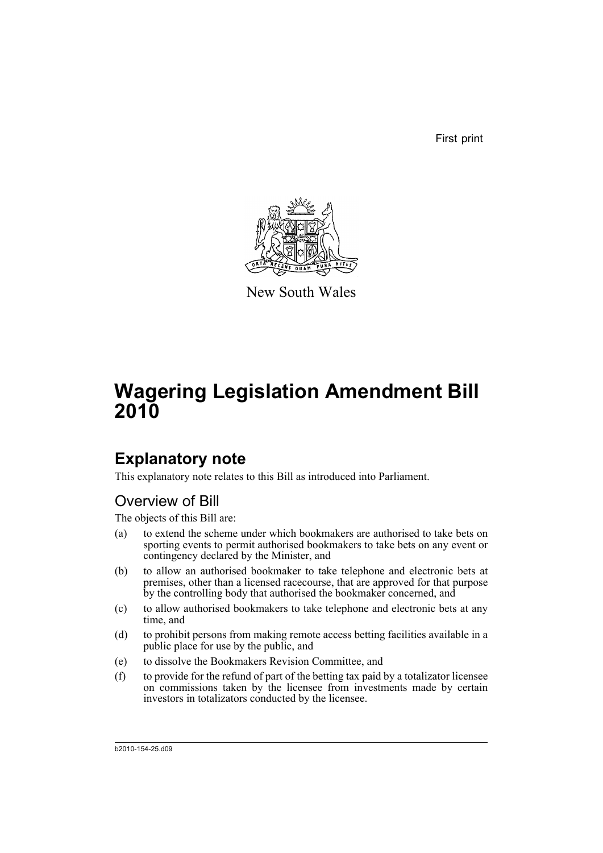First print



New South Wales

# **Wagering Legislation Amendment Bill 2010**

## **Explanatory note**

This explanatory note relates to this Bill as introduced into Parliament.

### Overview of Bill

The objects of this Bill are:

- (a) to extend the scheme under which bookmakers are authorised to take bets on sporting events to permit authorised bookmakers to take bets on any event or contingency declared by the Minister, and
- (b) to allow an authorised bookmaker to take telephone and electronic bets at premises, other than a licensed racecourse, that are approved for that purpose by the controlling body that authorised the bookmaker concerned, and
- (c) to allow authorised bookmakers to take telephone and electronic bets at any time, and
- (d) to prohibit persons from making remote access betting facilities available in a public place for use by the public, and
- (e) to dissolve the Bookmakers Revision Committee, and
- $(f)$  to provide for the refund of part of the betting tax paid by a totalizator licensee on commissions taken by the licensee from investments made by certain investors in totalizators conducted by the licensee.

b2010-154-25.d09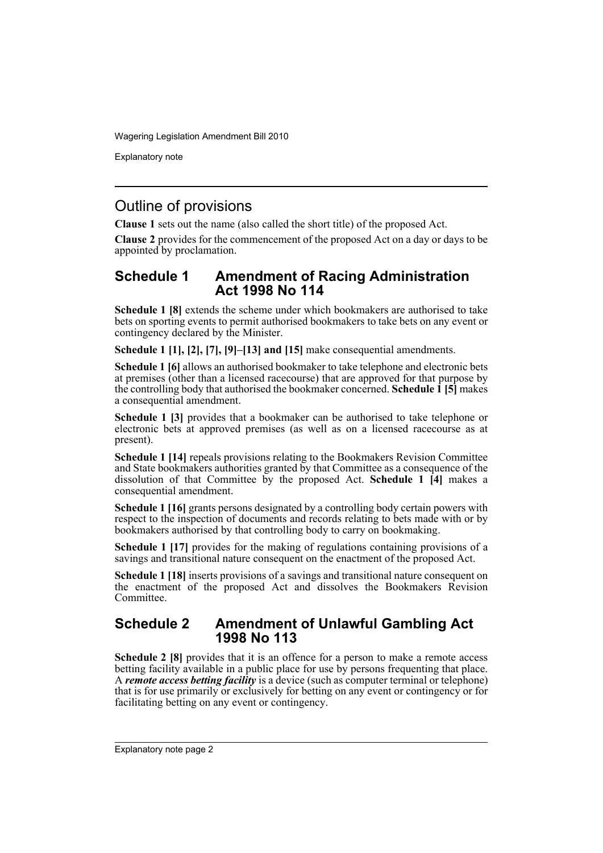Explanatory note

### Outline of provisions

**Clause 1** sets out the name (also called the short title) of the proposed Act.

**Clause 2** provides for the commencement of the proposed Act on a day or days to be appointed by proclamation.

#### **Schedule 1 Amendment of Racing Administration Act 1998 No 114**

**Schedule 1 [8]** extends the scheme under which bookmakers are authorised to take bets on sporting events to permit authorised bookmakers to take bets on any event or contingency declared by the Minister.

**Schedule 1 [1], [2], [7], [9]–[13] and [15]** make consequential amendments.

**Schedule 1 [6]** allows an authorised bookmaker to take telephone and electronic bets at premises (other than a licensed racecourse) that are approved for that purpose by the controlling body that authorised the bookmaker concerned. **Schedule 1 [5]** makes a consequential amendment.

**Schedule 1 [3]** provides that a bookmaker can be authorised to take telephone or electronic bets at approved premises (as well as on a licensed racecourse as at present).

**Schedule 1 [14]** repeals provisions relating to the Bookmakers Revision Committee and State bookmakers authorities granted by that Committee as a consequence of the dissolution of that Committee by the proposed Act. **Schedule 1 [4]** makes a consequential amendment.

**Schedule 1 [16]** grants persons designated by a controlling body certain powers with respect to the inspection of documents and records relating to bets made with or by bookmakers authorised by that controlling body to carry on bookmaking.

**Schedule 1 [17]** provides for the making of regulations containing provisions of a savings and transitional nature consequent on the enactment of the proposed Act.

**Schedule 1 [18]** inserts provisions of a savings and transitional nature consequent on the enactment of the proposed Act and dissolves the Bookmakers Revision Committee.

#### **Schedule 2 Amendment of Unlawful Gambling Act 1998 No 113**

**Schedule 2 [8]** provides that it is an offence for a person to make a remote access betting facility available in a public place for use by persons frequenting that place. A *remote access betting facility* is a device (such as computer terminal or telephone) that is for use primarily or exclusively for betting on any event or contingency or for facilitating betting on any event or contingency.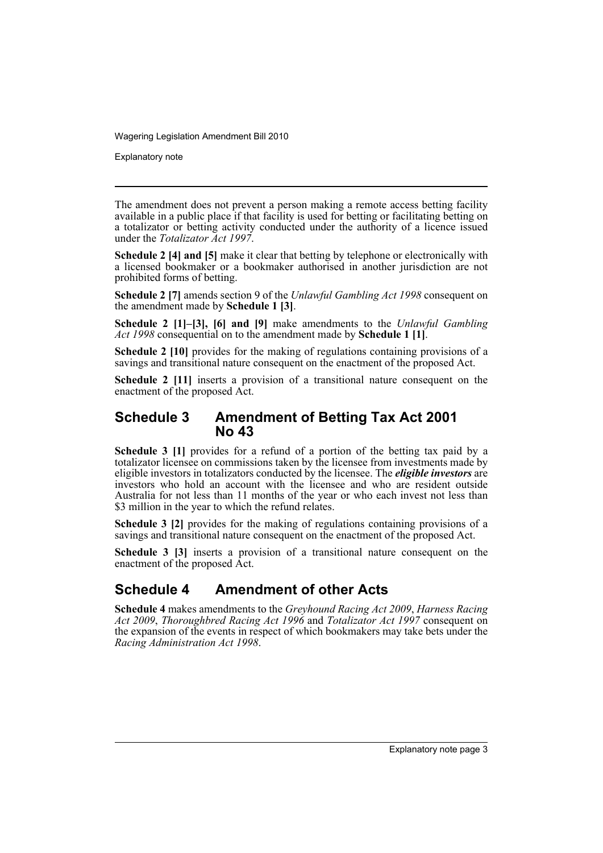Explanatory note

The amendment does not prevent a person making a remote access betting facility available in a public place if that facility is used for betting or facilitating betting on a totalizator or betting activity conducted under the authority of a licence issued under the *Totalizator Act 1997*.

**Schedule 2 [4] and [5]** make it clear that betting by telephone or electronically with a licensed bookmaker or a bookmaker authorised in another jurisdiction are not prohibited forms of betting.

**Schedule 2 [7]** amends section 9 of the *Unlawful Gambling Act 1998* consequent on the amendment made by **Schedule 1 [3]**.

**Schedule 2 [1]–[3], [6] and [9]** make amendments to the *Unlawful Gambling Act 1998* consequential on to the amendment made by **Schedule 1 [1]**.

**Schedule 2 [10]** provides for the making of regulations containing provisions of a savings and transitional nature consequent on the enactment of the proposed Act.

**Schedule 2 [11]** inserts a provision of a transitional nature consequent on the enactment of the proposed Act.

### **Schedule 3 Amendment of Betting Tax Act 2001 No 43**

Schedule 3 [1] provides for a refund of a portion of the betting tax paid by a totalizator licensee on commissions taken by the licensee from investments made by eligible investors in totalizators conducted by the licensee. The *eligible investors* are investors who hold an account with the licensee and who are resident outside Australia for not less than 11 months of the year or who each invest not less than \$3 million in the year to which the refund relates.

**Schedule 3 [2]** provides for the making of regulations containing provisions of a savings and transitional nature consequent on the enactment of the proposed Act.

**Schedule 3 [3]** inserts a provision of a transitional nature consequent on the enactment of the proposed Act.

### **Schedule 4 Amendment of other Acts**

**Schedule 4** makes amendments to the *Greyhound Racing Act 2009*, *Harness Racing Act 2009*, *Thoroughbred Racing Act 1996* and *Totalizator Act 1997* consequent on the expansion of the events in respect of which bookmakers may take bets under the *Racing Administration Act 1998*.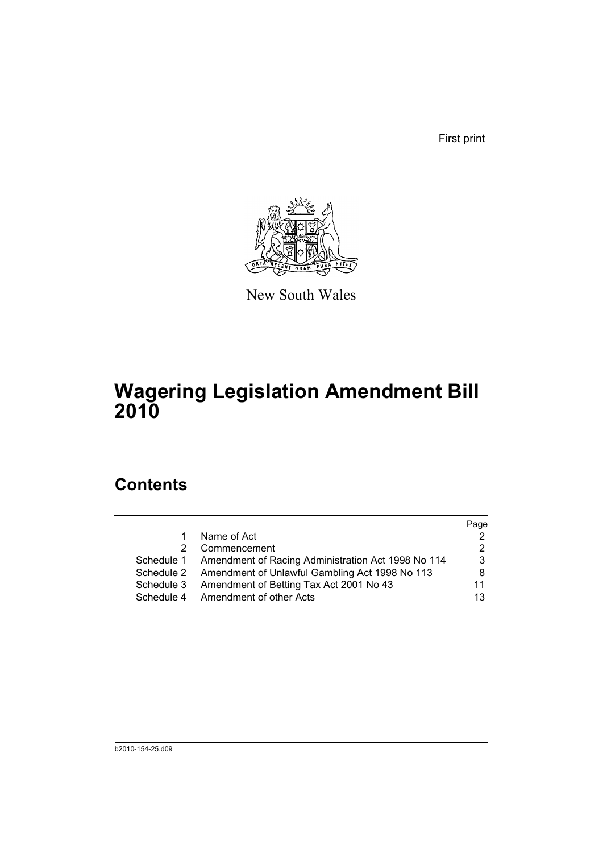First print



New South Wales

# **Wagering Legislation Amendment Bill 2010**

## **Contents**

|    |                                                               | Page |
|----|---------------------------------------------------------------|------|
| 1. | Name of Act                                                   |      |
| 2  | Commencement                                                  | 2    |
|    | Schedule 1 Amendment of Racing Administration Act 1998 No 114 | 3    |
|    | Schedule 2 Amendment of Unlawful Gambling Act 1998 No 113     | 8    |
|    | Schedule 3 Amendment of Betting Tax Act 2001 No 43            | 11   |
|    | Schedule 4 Amendment of other Acts                            | 13   |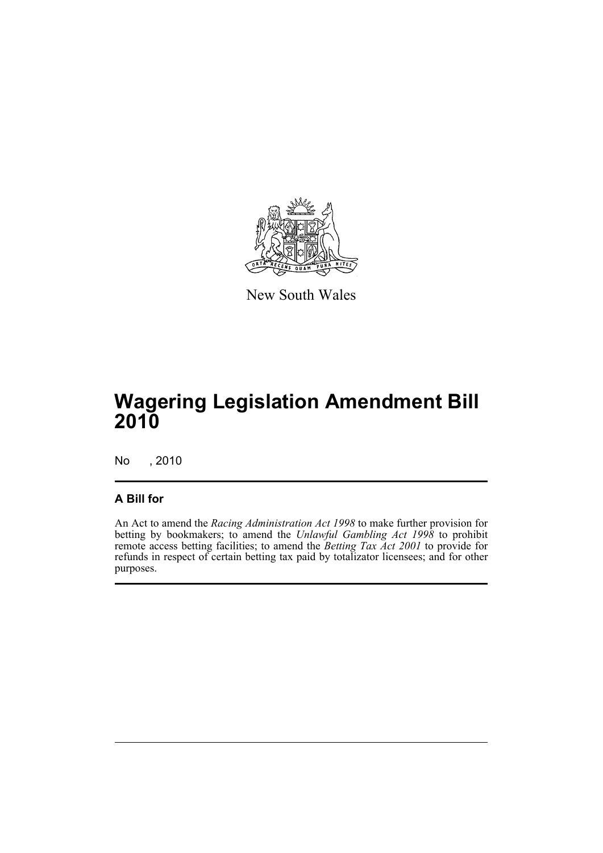

New South Wales

## **Wagering Legislation Amendment Bill 2010**

No , 2010

### **A Bill for**

An Act to amend the *Racing Administration Act 1998* to make further provision for betting by bookmakers; to amend the *Unlawful Gambling Act 1998* to prohibit remote access betting facilities; to amend the *Betting Tax Act 2001* to provide for refunds in respect of certain betting tax paid by totalizator licensees; and for other purposes.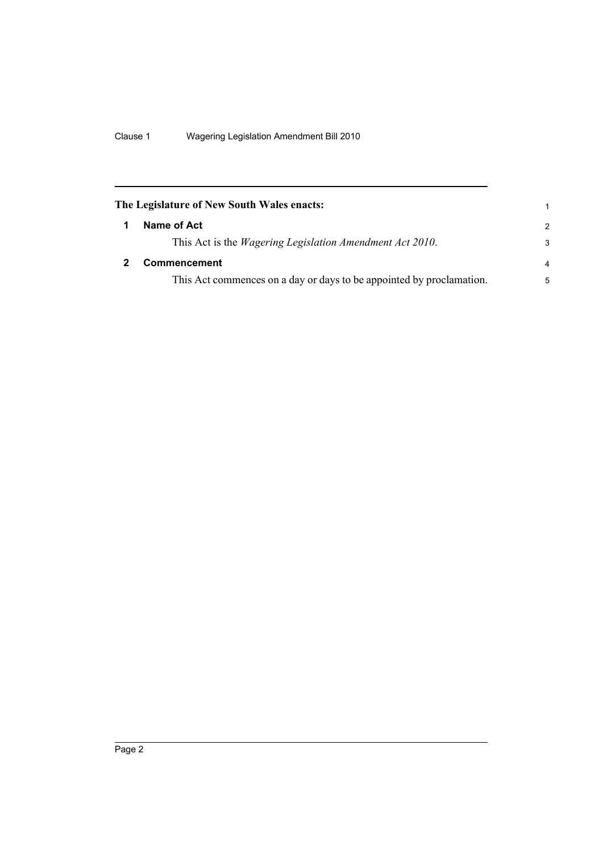<span id="page-7-1"></span><span id="page-7-0"></span>

| The Legislature of New South Wales enacts:                           | 1             |
|----------------------------------------------------------------------|---------------|
| Name of Act                                                          | $\mathcal{P}$ |
| This Act is the <i>Wagering Legislation Amendment Act 2010</i> .     | 3             |
| <b>Commencement</b>                                                  | 4             |
| This Act commences on a day or days to be appointed by proclamation. | 5             |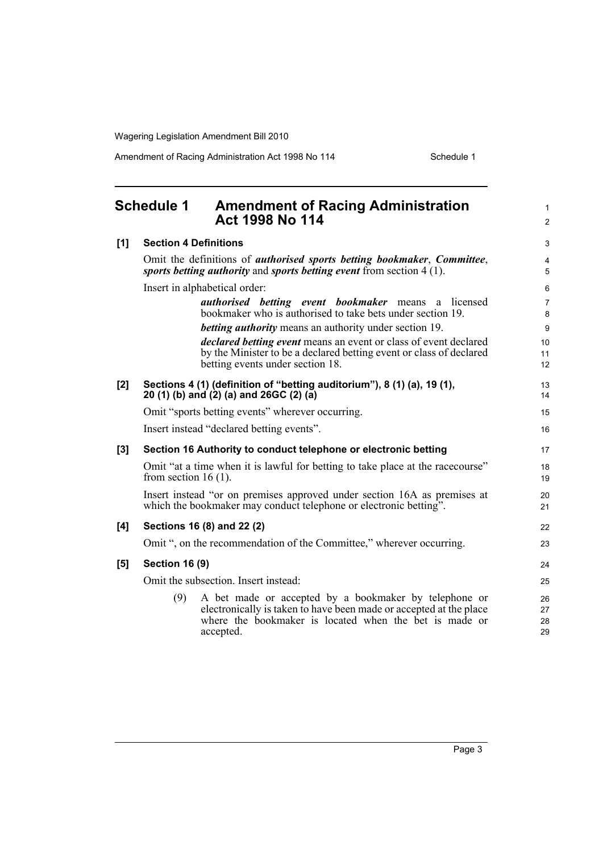Amendment of Racing Administration Act 1998 No 114 Schedule 1

<span id="page-8-0"></span>

| <b>Schedule 1</b> |                                                                                                                                                                  | <b>Amendment of Racing Administration</b><br>Act 1998 No 114                                                                                                                                       | $\mathbf{1}$<br>$\overline{2}$ |  |
|-------------------|------------------------------------------------------------------------------------------------------------------------------------------------------------------|----------------------------------------------------------------------------------------------------------------------------------------------------------------------------------------------------|--------------------------------|--|
| [1]               | <b>Section 4 Definitions</b>                                                                                                                                     |                                                                                                                                                                                                    | 3                              |  |
|                   | Omit the definitions of <i>authorised sports betting bookmaker</i> , <i>Committee</i> ,<br>sports betting authority and sports betting event from section 4 (1). |                                                                                                                                                                                                    |                                |  |
|                   |                                                                                                                                                                  | Insert in alphabetical order:                                                                                                                                                                      | 6                              |  |
|                   |                                                                                                                                                                  | <i>authorised betting event bookmaker</i> means<br>a licensed<br>bookmaker who is authorised to take bets under section 19.                                                                        | $\overline{7}$<br>8            |  |
|                   |                                                                                                                                                                  | <b>betting authority</b> means an authority under section 19.                                                                                                                                      | 9                              |  |
|                   |                                                                                                                                                                  | <i>declared betting event</i> means an event or class of event declared<br>by the Minister to be a declared betting event or class of declared<br>betting events under section 18.                 | 10 <sup>1</sup><br>11<br>12    |  |
| [2]               |                                                                                                                                                                  | Sections 4 (1) (definition of "betting auditorium"), 8 (1) (a), 19 (1),<br>20 (1) (b) and (2) (a) and 26GC (2) (a)                                                                                 | 13<br>14                       |  |
|                   |                                                                                                                                                                  | Omit "sports betting events" wherever occurring.                                                                                                                                                   | 15                             |  |
|                   |                                                                                                                                                                  | Insert instead "declared betting events".                                                                                                                                                          | 16                             |  |
| $[3]$             |                                                                                                                                                                  | Section 16 Authority to conduct telephone or electronic betting                                                                                                                                    | 17                             |  |
|                   | from section 16 $(1)$ .                                                                                                                                          | Omit "at a time when it is lawful for betting to take place at the racecourse"                                                                                                                     | 18<br>19                       |  |
|                   |                                                                                                                                                                  | Insert instead "or on premises approved under section 16A as premises at<br>which the bookmaker may conduct telephone or electronic betting".                                                      | 20<br>21                       |  |
| [4]               |                                                                                                                                                                  | Sections 16 (8) and 22 (2)                                                                                                                                                                         | 22                             |  |
|                   |                                                                                                                                                                  | Omit ", on the recommendation of the Committee," wherever occurring.                                                                                                                               | 23                             |  |
| [5]               | <b>Section 16 (9)</b>                                                                                                                                            |                                                                                                                                                                                                    | 24                             |  |
|                   |                                                                                                                                                                  | Omit the subsection. Insert instead:                                                                                                                                                               | 25                             |  |
|                   | (9)                                                                                                                                                              | A bet made or accepted by a bookmaker by telephone or<br>electronically is taken to have been made or accepted at the place<br>where the bookmaker is located when the bet is made or<br>accepted. | 26<br>27<br>28<br>29           |  |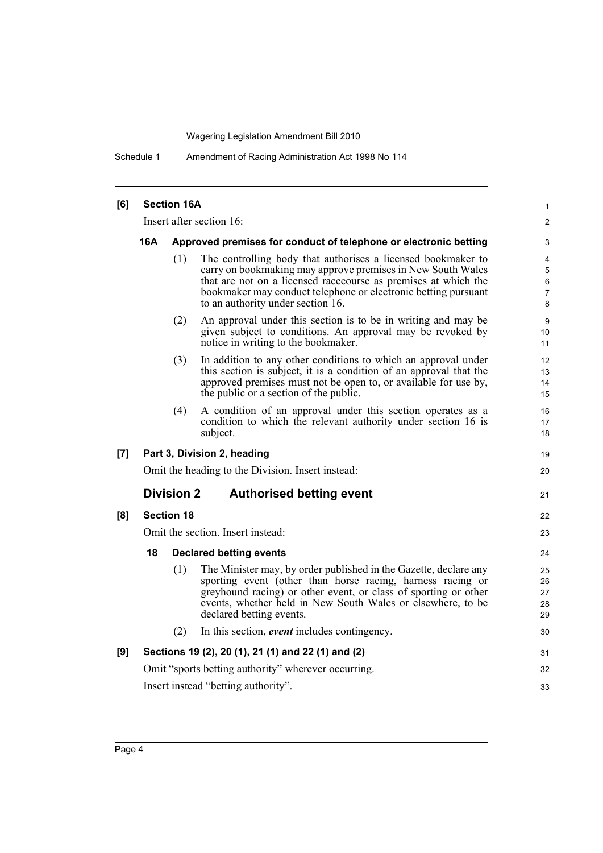Schedule 1 Amendment of Racing Administration Act 1998 No 114

| [6] |     | <b>Section 16A</b> |                                                                                                                                                                                                                                                                                                      | 1                          |
|-----|-----|--------------------|------------------------------------------------------------------------------------------------------------------------------------------------------------------------------------------------------------------------------------------------------------------------------------------------------|----------------------------|
|     |     |                    | Insert after section 16:                                                                                                                                                                                                                                                                             | $\overline{2}$             |
|     | 16A |                    | Approved premises for conduct of telephone or electronic betting                                                                                                                                                                                                                                     | 3                          |
|     |     | (1)                | The controlling body that authorises a licensed bookmaker to<br>carry on bookmaking may approve premises in New South Wales<br>that are not on a licensed racecourse as premises at which the<br>bookmaker may conduct telephone or electronic betting pursuant<br>to an authority under section 16. | 4<br>5<br>6<br>7<br>8      |
|     |     | (2)                | An approval under this section is to be in writing and may be<br>given subject to conditions. An approval may be revoked by<br>notice in writing to the bookmaker.                                                                                                                                   | 9<br>10<br>11              |
|     |     | (3)                | In addition to any other conditions to which an approval under<br>this section is subject, it is a condition of an approval that the<br>approved premises must not be open to, or available for use by,<br>the public or a section of the public.                                                    | 12<br>13<br>14<br>15       |
|     |     | (4)                | A condition of an approval under this section operates as a<br>condition to which the relevant authority under section 16 is<br>subject.                                                                                                                                                             | 16<br>17<br>18             |
| [7] |     |                    | Part 3, Division 2, heading                                                                                                                                                                                                                                                                          | 19                         |
|     |     |                    | Omit the heading to the Division. Insert instead:                                                                                                                                                                                                                                                    | 20                         |
|     |     | <b>Division 2</b>  | <b>Authorised betting event</b>                                                                                                                                                                                                                                                                      | 21                         |
| [8] |     | <b>Section 18</b>  |                                                                                                                                                                                                                                                                                                      | 22                         |
|     |     |                    | Omit the section. Insert instead:                                                                                                                                                                                                                                                                    | 23                         |
|     | 18  |                    | <b>Declared betting events</b>                                                                                                                                                                                                                                                                       | 24                         |
|     |     | (1)                | The Minister may, by order published in the Gazette, declare any<br>sporting event (other than horse racing, harness racing or<br>greyhound racing) or other event, or class of sporting or other<br>events, whether held in New South Wales or elsewhere, to be<br>declared betting events.         | 25<br>26<br>27<br>28<br>29 |
|     |     | (2)                | In this section, <i>event</i> includes contingency.                                                                                                                                                                                                                                                  | 30                         |
| [9] |     |                    | Sections 19 (2), 20 (1), 21 (1) and 22 (1) and (2)                                                                                                                                                                                                                                                   | 31                         |
|     |     |                    | Omit "sports betting authority" wherever occurring.                                                                                                                                                                                                                                                  | 32                         |
|     |     |                    | Insert instead "betting authority".                                                                                                                                                                                                                                                                  | 33                         |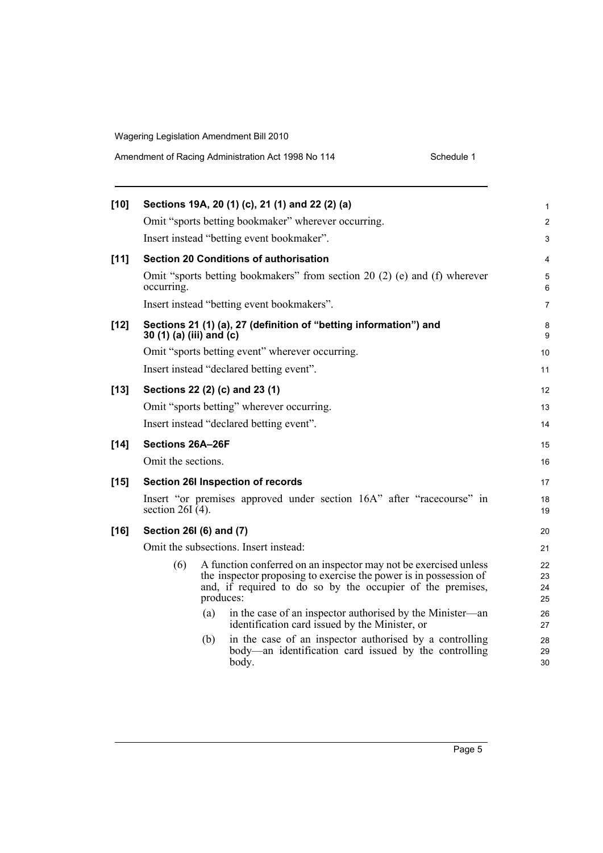| Amendment of Racing Administration Act 1998 No 114 | Schedule 1 |
|----------------------------------------------------|------------|
|----------------------------------------------------|------------|

| [10]   |                          |     | Sections 19A, 20 (1) (c), 21 (1) and 22 (2) (a)                                                                                                                                                                  | 1                    |
|--------|--------------------------|-----|------------------------------------------------------------------------------------------------------------------------------------------------------------------------------------------------------------------|----------------------|
|        |                          |     | Omit "sports betting bookmaker" wherever occurring.                                                                                                                                                              | $\overline{2}$       |
|        |                          |     | Insert instead "betting event bookmaker".                                                                                                                                                                        | 3                    |
| $[11]$ |                          |     | <b>Section 20 Conditions of authorisation</b>                                                                                                                                                                    | 4                    |
|        | occurring.               |     | Omit "sports betting bookmakers" from section 20 (2) (e) and (f) wherever                                                                                                                                        | 5<br>6               |
|        |                          |     | Insert instead "betting event bookmakers".                                                                                                                                                                       | $\overline{7}$       |
| [12]   | 30 (1) (a) (iii) and (c) |     | Sections 21 (1) (a), 27 (definition of "betting information") and                                                                                                                                                | 8<br>9               |
|        |                          |     | Omit "sports betting event" wherever occurring.                                                                                                                                                                  | 10                   |
|        |                          |     | Insert instead "declared betting event".                                                                                                                                                                         | 11                   |
| [13]   |                          |     | Sections 22 (2) (c) and 23 (1)                                                                                                                                                                                   | 12                   |
|        |                          |     | Omit "sports betting" wherever occurring.                                                                                                                                                                        | 13                   |
|        |                          |     | Insert instead "declared betting event".                                                                                                                                                                         | 14                   |
| $[14]$ | Sections 26A-26F         |     |                                                                                                                                                                                                                  | 15                   |
|        | Omit the sections.       |     |                                                                                                                                                                                                                  | 16                   |
| $[15]$ |                          |     | Section 26I Inspection of records                                                                                                                                                                                | 17                   |
|        | section $26I(4)$ .       |     | Insert "or premises approved under section 16A" after "racecourse" in                                                                                                                                            | 18<br>19             |
| [16]   | Section 26I (6) and (7)  |     |                                                                                                                                                                                                                  | 20                   |
|        |                          |     | Omit the subsections. Insert instead:                                                                                                                                                                            | 21                   |
|        | (6)                      |     | A function conferred on an inspector may not be exercised unless<br>the inspector proposing to exercise the power is in possession of<br>and, if required to do so by the occupier of the premises,<br>produces: | 22<br>23<br>24<br>25 |
|        |                          | (a) | in the case of an inspector authorised by the Minister—an<br>identification card issued by the Minister, or                                                                                                      | 26<br>27             |
|        |                          | (b) | in the case of an inspector authorised by a controlling<br>body—an identification card issued by the controlling<br>body.                                                                                        | 28<br>29<br>30       |
|        |                          |     |                                                                                                                                                                                                                  |                      |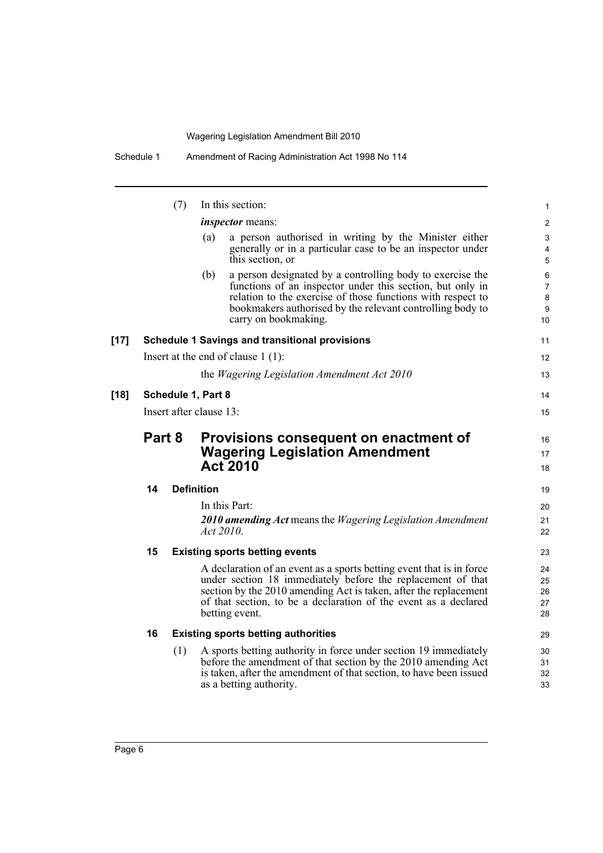|      |                                                 | (7)                |                   | In this section:                                                                                                                                                                                                                                                                             | 1                                                      |
|------|-------------------------------------------------|--------------------|-------------------|----------------------------------------------------------------------------------------------------------------------------------------------------------------------------------------------------------------------------------------------------------------------------------------------|--------------------------------------------------------|
|      |                                                 |                    |                   | <i>inspector</i> means:                                                                                                                                                                                                                                                                      | $\mathbf{2}$                                           |
|      |                                                 |                    | (a)               | a person authorised in writing by the Minister either<br>generally or in a particular case to be an inspector under<br>this section, or                                                                                                                                                      | 3<br>4<br>5                                            |
|      |                                                 |                    | (b)               | a person designated by a controlling body to exercise the<br>functions of an inspector under this section, but only in<br>relation to the exercise of those functions with respect to<br>bookmakers authorised by the relevant controlling body to<br>carry on bookmaking.                   | 6<br>$\overline{7}$<br>$\bf 8$<br>9<br>10 <sup>1</sup> |
| [17] |                                                 |                    |                   | <b>Schedule 1 Savings and transitional provisions</b>                                                                                                                                                                                                                                        | 11                                                     |
|      |                                                 |                    |                   | Insert at the end of clause $1(1)$ :                                                                                                                                                                                                                                                         | 12 <sup>2</sup>                                        |
|      |                                                 |                    |                   | the <i>Wagering Legislation Amendment Act 2010</i>                                                                                                                                                                                                                                           | 13                                                     |
| [18] |                                                 | Schedule 1, Part 8 |                   |                                                                                                                                                                                                                                                                                              | 14                                                     |
|      | Insert after clause 13:                         |                    |                   | 15                                                                                                                                                                                                                                                                                           |                                                        |
|      | Part 8<br>Provisions consequent on enactment of |                    | 16                |                                                                                                                                                                                                                                                                                              |                                                        |
|      |                                                 |                    |                   | <b>Wagering Legislation Amendment</b>                                                                                                                                                                                                                                                        | 17                                                     |
|      |                                                 |                    |                   | <b>Act 2010</b>                                                                                                                                                                                                                                                                              | 18                                                     |
|      | 14                                              |                    | <b>Definition</b> |                                                                                                                                                                                                                                                                                              | 19                                                     |
|      |                                                 |                    |                   | In this Part:                                                                                                                                                                                                                                                                                | 20                                                     |
|      |                                                 |                    | Act 2010.         | 2010 amending Act means the Wagering Legislation Amendment                                                                                                                                                                                                                                   | 21<br>22                                               |
|      | 15                                              |                    |                   | <b>Existing sports betting events</b>                                                                                                                                                                                                                                                        | 23                                                     |
|      |                                                 |                    |                   | A declaration of an event as a sports betting event that is in force<br>under section 18 immediately before the replacement of that<br>section by the 2010 amending Act is taken, after the replacement<br>of that section, to be a declaration of the event as a declared<br>betting event. | 24<br>25<br>26<br>27<br>28                             |
|      |                                                 |                    |                   |                                                                                                                                                                                                                                                                                              |                                                        |
|      | 16                                              |                    |                   | <b>Existing sports betting authorities</b>                                                                                                                                                                                                                                                   | 29                                                     |
|      |                                                 | (1)                |                   | A sports betting authority in force under section 19 immediately<br>before the amendment of that section by the 2010 amending Act<br>is taken, after the amendment of that section, to have been issued<br>as a betting authority.                                                           | 30<br>31<br>32<br>33                                   |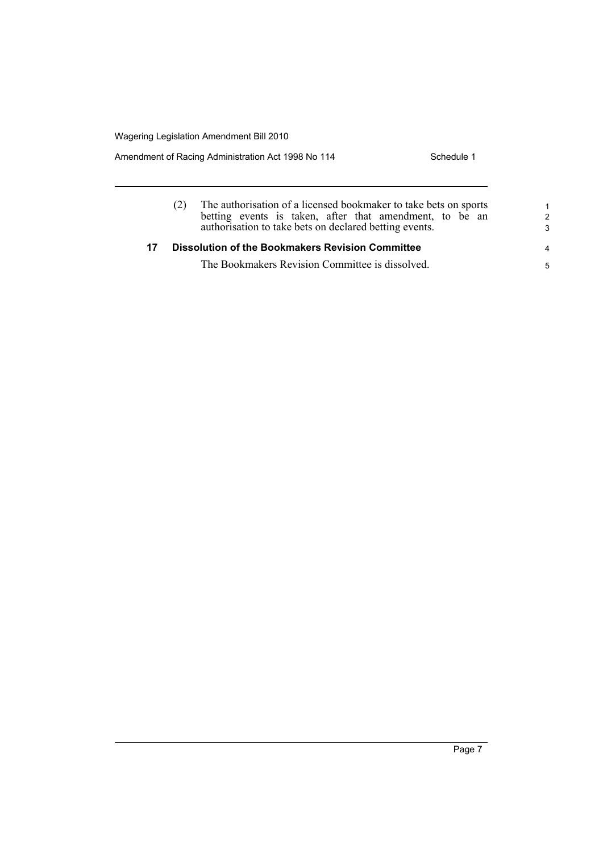Amendment of Racing Administration Act 1998 No 114 Schedule 1

|    | The authorisation of a licensed bookmaker to take bets on sports<br>betting events is taken, after that amendment, to be an<br>authorisation to take bets on declared betting events. | 1<br>$\mathcal{P}$<br>3 |
|----|---------------------------------------------------------------------------------------------------------------------------------------------------------------------------------------|-------------------------|
| 17 | <b>Dissolution of the Bookmakers Revision Committee</b>                                                                                                                               | 4                       |
|    | The Bookmakers Revision Committee is dissolved.                                                                                                                                       | 5                       |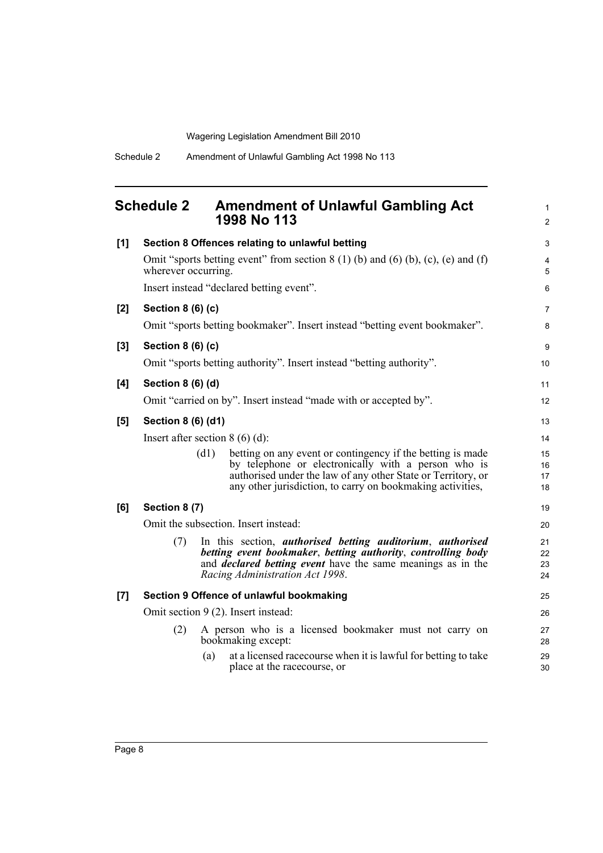<span id="page-13-0"></span>

|     | <b>Schedule 2</b>   | <b>Amendment of Unlawful Gambling Act</b><br>1998 No 113                                                                                                                                                                                                  | 1<br>$\overline{2}$  |
|-----|---------------------|-----------------------------------------------------------------------------------------------------------------------------------------------------------------------------------------------------------------------------------------------------------|----------------------|
| [1] |                     | Section 8 Offences relating to unlawful betting                                                                                                                                                                                                           | 3                    |
|     | wherever occurring. | Omit "sports betting event" from section $8(1)$ (b) and (6) (b), (c), (e) and (f)                                                                                                                                                                         | 4<br>5               |
|     |                     | Insert instead "declared betting event".                                                                                                                                                                                                                  | 6                    |
| [2] | Section 8 (6) (c)   | Omit "sports betting bookmaker". Insert instead "betting event bookmaker".                                                                                                                                                                                | 7<br>8               |
| [3] | Section 8 (6) (c)   |                                                                                                                                                                                                                                                           | 9                    |
|     |                     | Omit "sports betting authority". Insert instead "betting authority".                                                                                                                                                                                      | 10                   |
| [4] | Section 8 (6) (d)   |                                                                                                                                                                                                                                                           | 11                   |
|     |                     | Omit "carried on by". Insert instead "made with or accepted by".                                                                                                                                                                                          | 12                   |
| [5] | Section 8 (6) (d1)  |                                                                                                                                                                                                                                                           | 13                   |
|     |                     | Insert after section $8(6)(d)$ :                                                                                                                                                                                                                          | 14                   |
|     |                     | (d1)<br>betting on any event or contingency if the betting is made<br>by telephone or electronically with a person who is<br>authorised under the law of any other State or Territory, or<br>any other jurisdiction, to carry on bookmaking activities,   | 15<br>16<br>17<br>18 |
| [6] | Section 8 (7)       |                                                                                                                                                                                                                                                           | 19                   |
|     |                     | Omit the subsection. Insert instead:                                                                                                                                                                                                                      | 20                   |
|     | (7)                 | In this section, <i>authorised</i> betting <i>auditorium</i> , <i>authorised</i><br>betting event bookmaker, betting authority, controlling body<br>and <i>declared betting event</i> have the same meanings as in the<br>Racing Administration Act 1998. | 21<br>22<br>23<br>24 |
| [7] |                     | Section 9 Offence of unlawful bookmaking                                                                                                                                                                                                                  | 25                   |
|     |                     | Omit section 9 (2). Insert instead:                                                                                                                                                                                                                       | 26                   |
|     | (2)                 | A person who is a licensed bookmaker must not carry on<br>bookmaking except:                                                                                                                                                                              | 27<br>28             |
|     |                     | at a licensed race course when it is lawful for betting to take<br>(a)<br>place at the racecourse, or                                                                                                                                                     | 29<br>30             |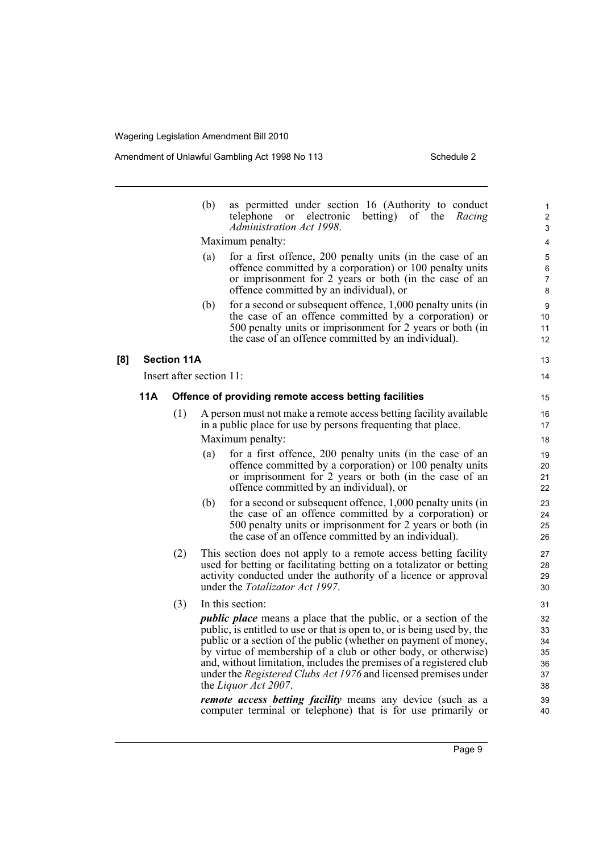Amendment of Unlawful Gambling Act 1998 No 113 Schedule 2

13 14

|     |     |                          | (b) | as permitted under section 16 (Authority to conduct<br>electronic<br>betting) of the<br>telephone<br>or<br>Racing<br>Administration Act 1998.                                                                                                                                                                                                                                                                                                                                                                                                                                                     |
|-----|-----|--------------------------|-----|---------------------------------------------------------------------------------------------------------------------------------------------------------------------------------------------------------------------------------------------------------------------------------------------------------------------------------------------------------------------------------------------------------------------------------------------------------------------------------------------------------------------------------------------------------------------------------------------------|
|     |     |                          |     | Maximum penalty:                                                                                                                                                                                                                                                                                                                                                                                                                                                                                                                                                                                  |
|     |     |                          | (a) | for a first offence, 200 penalty units (in the case of an<br>offence committed by a corporation) or 100 penalty units<br>or imprisonment for 2 years or both (in the case of an<br>offence committed by an individual), or                                                                                                                                                                                                                                                                                                                                                                        |
|     |     |                          | (b) | for a second or subsequent offence, 1,000 penalty units (in<br>the case of an offence committed by a corporation) or<br>500 penalty units or imprisonment for 2 years or both (in<br>the case of an offence committed by an individual).                                                                                                                                                                                                                                                                                                                                                          |
| [8] |     | <b>Section 11A</b>       |     |                                                                                                                                                                                                                                                                                                                                                                                                                                                                                                                                                                                                   |
|     |     | Insert after section 11: |     |                                                                                                                                                                                                                                                                                                                                                                                                                                                                                                                                                                                                   |
|     | 11A |                          |     | Offence of providing remote access betting facilities                                                                                                                                                                                                                                                                                                                                                                                                                                                                                                                                             |
|     |     |                          |     |                                                                                                                                                                                                                                                                                                                                                                                                                                                                                                                                                                                                   |
|     |     | (1)                      |     | A person must not make a remote access betting facility available<br>in a public place for use by persons frequenting that place.<br>Maximum penalty:                                                                                                                                                                                                                                                                                                                                                                                                                                             |
|     |     |                          | (a) | for a first offence, 200 penalty units (in the case of an<br>offence committed by a corporation) or 100 penalty units<br>or imprisonment for 2 years or both (in the case of an<br>offence committed by an individual), or                                                                                                                                                                                                                                                                                                                                                                        |
|     |     |                          | (b) | for a second or subsequent offence, 1,000 penalty units (in<br>the case of an offence committed by a corporation) or<br>500 penalty units or imprisonment for 2 years or both (in<br>the case of an offence committed by an individual).                                                                                                                                                                                                                                                                                                                                                          |
|     |     | (2)                      |     | This section does not apply to a remote access betting facility<br>used for betting or facilitating betting on a totalizator or betting<br>activity conducted under the authority of a licence or approval<br>under the <i>Totalizator Act 1997</i> .                                                                                                                                                                                                                                                                                                                                             |
|     |     | (3)                      |     | In this section:                                                                                                                                                                                                                                                                                                                                                                                                                                                                                                                                                                                  |
|     |     |                          |     | <i>public place</i> means a place that the public, or a section of the<br>public, is entitled to use or that is open to, or is being used by, the<br>public or a section of the public (whether on payment of money, by virtue of membership of a club or other body, or otherwise)<br>and, without limitation, includes the premises of a registered club<br>under the <i>Registered Clubs Act 1976</i> and licensed premises under<br>the Liquor Act 2007.<br><i>remote access betting facility</i> means any device (such as a<br>computer terminal or telephone) that is for use primarily or |
|     |     |                          |     |                                                                                                                                                                                                                                                                                                                                                                                                                                                                                                                                                                                                   |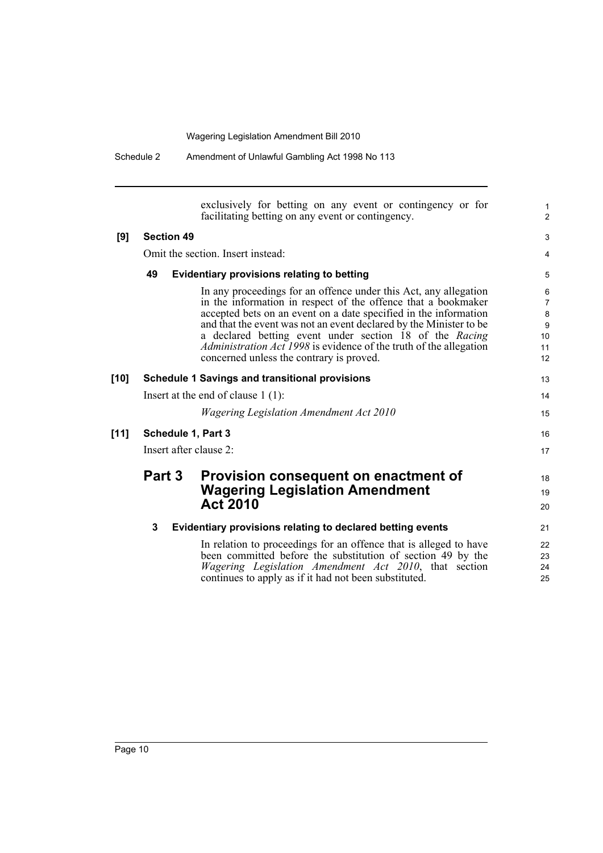|        | Scriedule 2            | Amendment of Uniawrul Gambling ACt 1998 NO 113                                                                                                                                                                                                                                                                                                                                                                                                                  |                                                 |
|--------|------------------------|-----------------------------------------------------------------------------------------------------------------------------------------------------------------------------------------------------------------------------------------------------------------------------------------------------------------------------------------------------------------------------------------------------------------------------------------------------------------|-------------------------------------------------|
|        |                        | exclusively for betting on any event or contingency or for<br>facilitating betting on any event or contingency.                                                                                                                                                                                                                                                                                                                                                 | $\mathbf{1}$<br>2                               |
| [9]    | <b>Section 49</b>      |                                                                                                                                                                                                                                                                                                                                                                                                                                                                 | 3                                               |
|        |                        | Omit the section. Insert instead:                                                                                                                                                                                                                                                                                                                                                                                                                               | $\overline{4}$                                  |
|        | 49                     | <b>Evidentiary provisions relating to betting</b>                                                                                                                                                                                                                                                                                                                                                                                                               | 5                                               |
|        |                        | In any proceedings for an offence under this Act, any allegation<br>in the information in respect of the offence that a bookmaker<br>accepted bets on an event on a date specified in the information<br>and that the event was not an event declared by the Minister to be<br>a declared betting event under section 18 of the Racing<br><i>Administration Act 1998</i> is evidence of the truth of the allegation<br>concerned unless the contrary is proved. | 6<br>$\overline{7}$<br>8<br>9<br>10<br>11<br>12 |
| [10]   |                        | <b>Schedule 1 Savings and transitional provisions</b>                                                                                                                                                                                                                                                                                                                                                                                                           | 13                                              |
|        |                        | Insert at the end of clause $1(1)$ :                                                                                                                                                                                                                                                                                                                                                                                                                            | 14                                              |
|        |                        | <b>Wagering Legislation Amendment Act 2010</b>                                                                                                                                                                                                                                                                                                                                                                                                                  | 15                                              |
| $[11]$ | Schedule 1, Part 3     |                                                                                                                                                                                                                                                                                                                                                                                                                                                                 | 16                                              |
|        | Insert after clause 2: |                                                                                                                                                                                                                                                                                                                                                                                                                                                                 | 17                                              |
|        | Part 3                 | Provision consequent on enactment of<br><b>Wagering Legislation Amendment</b><br><b>Act 2010</b>                                                                                                                                                                                                                                                                                                                                                                | 18<br>19<br>20                                  |
|        | 3                      | Evidentiary provisions relating to declared betting events                                                                                                                                                                                                                                                                                                                                                                                                      | 21                                              |
|        |                        | In relation to proceedings for an offence that is alleged to have<br>been committed before the substitution of section 49 by the<br>Wagering Legislation Amendment Act 2010, that section<br>continues to apply as if it had not been substituted.                                                                                                                                                                                                              | 22<br>23<br>24<br>25                            |

Schedule 2 Amendment of Unlawful Gambling Act 1998 No 113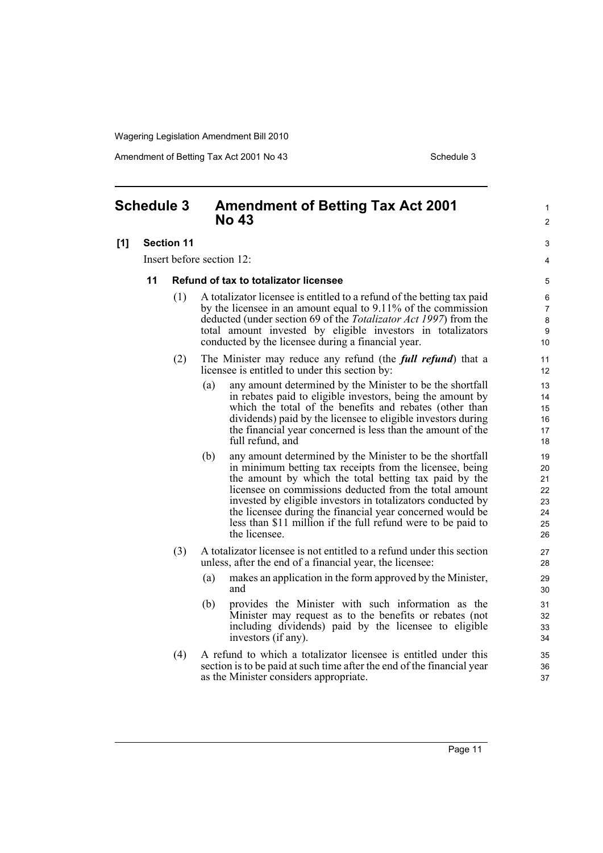Amendment of Betting Tax Act 2001 No 43 Schedule 3

1  $\mathfrak{p}$ 

 $\overline{a}$ 4

#### <span id="page-16-0"></span>**Schedule 3 Amendment of Betting Tax Act 2001 No 43**

#### **[1] Section 11**

Insert before section 12:

#### **11 Refund of tax to totalizator licensee**

- (1) A totalizator licensee is entitled to a refund of the betting tax paid by the licensee in an amount equal to 9.11% of the commission deducted (under section 69 of the *Totalizator Act 1997*) from the total amount invested by eligible investors in totalizators conducted by the licensee during a financial year.
- (2) The Minister may reduce any refund (the *full refund*) that a licensee is entitled to under this section by:
	- (a) any amount determined by the Minister to be the shortfall in rebates paid to eligible investors, being the amount by which the total of the benefits and rebates (other than dividends) paid by the licensee to eligible investors during the financial year concerned is less than the amount of the full refund, and
	- (b) any amount determined by the Minister to be the shortfall in minimum betting tax receipts from the licensee, being the amount by which the total betting tax paid by the licensee on commissions deducted from the total amount invested by eligible investors in totalizators conducted by the licensee during the financial year concerned would be less than \$11 million if the full refund were to be paid to the licensee.
- (3) A totalizator licensee is not entitled to a refund under this section unless, after the end of a financial year, the licensee:
	- (a) makes an application in the form approved by the Minister, and
	- (b) provides the Minister with such information as the Minister may request as to the benefits or rebates (not including dividends) paid by the licensee to eligible investors (if any).
- (4) A refund to which a totalizator licensee is entitled under this section is to be paid at such time after the end of the financial year as the Minister considers appropriate.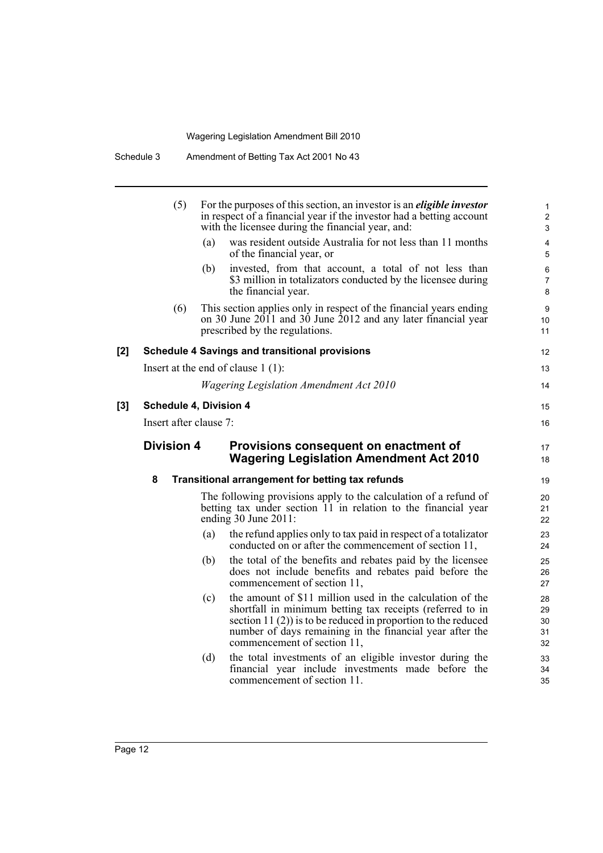|     | (5)                    |     | For the purposes of this section, an investor is an <i>eligible investor</i><br>in respect of a financial year if the investor had a betting account<br>with the licensee during the financial year, and:                                                                             | $\mathbf{1}$<br>$\overline{2}$<br>$\mathfrak{S}$ |
|-----|------------------------|-----|---------------------------------------------------------------------------------------------------------------------------------------------------------------------------------------------------------------------------------------------------------------------------------------|--------------------------------------------------|
|     |                        | (a) | was resident outside Australia for not less than 11 months<br>of the financial year, or                                                                                                                                                                                               | 4<br>$\overline{5}$                              |
|     |                        | (b) | invested, from that account, a total of not less than<br>\$3 million in totalizators conducted by the licensee during<br>the financial year.                                                                                                                                          | 6<br>$\overline{7}$<br>8                         |
|     | (6)                    |     | This section applies only in respect of the financial years ending<br>on 30 June 2011 and 30 June 2012 and any later financial year<br>prescribed by the regulations.                                                                                                                 | 9<br>10<br>11                                    |
| [2] |                        |     | <b>Schedule 4 Savings and transitional provisions</b>                                                                                                                                                                                                                                 | 12                                               |
|     |                        |     | Insert at the end of clause $1(1)$ :                                                                                                                                                                                                                                                  | 13                                               |
|     |                        |     | <b>Wagering Legislation Amendment Act 2010</b>                                                                                                                                                                                                                                        | 14                                               |
| [3] | Schedule 4, Division 4 |     |                                                                                                                                                                                                                                                                                       | 15                                               |
|     | Insert after clause 7: |     |                                                                                                                                                                                                                                                                                       | 16                                               |
|     | <b>Division 4</b>      |     | Provisions consequent on enactment of<br><b>Wagering Legislation Amendment Act 2010</b>                                                                                                                                                                                               | 17<br>18                                         |
|     | 8                      |     | <b>Transitional arrangement for betting tax refunds</b>                                                                                                                                                                                                                               | 19                                               |
|     |                        |     | The following provisions apply to the calculation of a refund of<br>betting tax under section 11 in relation to the financial year<br>ending 30 June 2011:                                                                                                                            | 20<br>21<br>22                                   |
|     |                        | (a) | the refund applies only to tax paid in respect of a totalizator<br>conducted on or after the commencement of section 11,                                                                                                                                                              | 23<br>24                                         |
|     |                        | (b) | the total of the benefits and rebates paid by the licensee<br>does not include benefits and rebates paid before the                                                                                                                                                                   | 25<br>26                                         |
|     |                        |     | commencement of section 11,                                                                                                                                                                                                                                                           | 27                                               |
|     |                        | (c) | the amount of \$11 million used in the calculation of the<br>shortfall in minimum betting tax receipts (referred to in<br>section 11 $(2)$ ) is to be reduced in proportion to the reduced<br>number of days remaining in the financial year after the<br>commencement of section 11, | 28<br>29<br>30<br>31<br>32                       |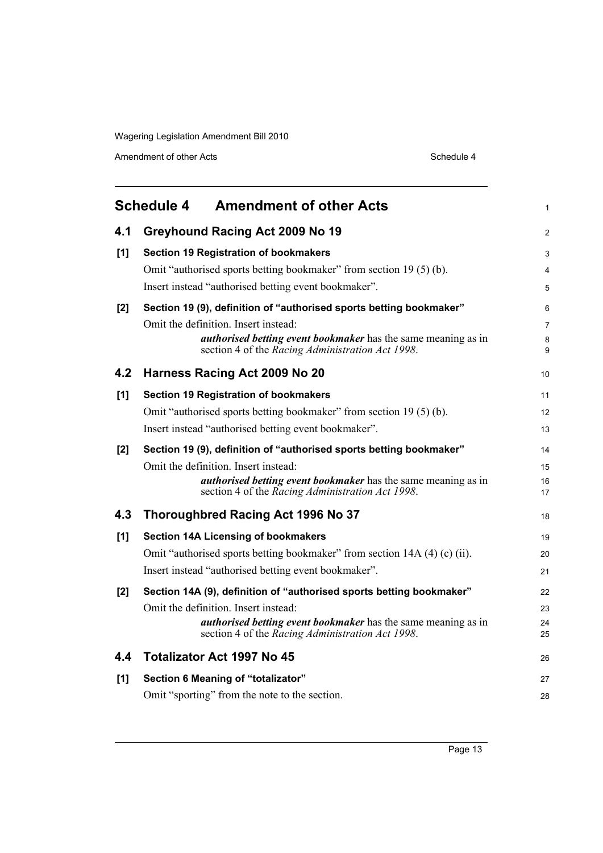Amendment of other Acts Schedule 4

<span id="page-18-0"></span>

| <b>Schedule 4</b><br><b>Amendment of other Acts</b> |                                                                                                                                                                                                                                                                                                                                                                                                                 |                      |  |  |
|-----------------------------------------------------|-----------------------------------------------------------------------------------------------------------------------------------------------------------------------------------------------------------------------------------------------------------------------------------------------------------------------------------------------------------------------------------------------------------------|----------------------|--|--|
| 4.1                                                 | Greyhound Racing Act 2009 No 19                                                                                                                                                                                                                                                                                                                                                                                 | $\overline{2}$       |  |  |
| [1]                                                 | <b>Section 19 Registration of bookmakers</b><br>Omit "authorised sports betting bookmaker" from section 19 (5) (b).<br>Insert instead "authorised betting event bookmaker".<br>Section 19 (9), definition of "authorised sports betting bookmaker"<br>Omit the definition. Insert instead:<br>authorised betting event bookmaker has the same meaning as in<br>section 4 of the Racing Administration Act 1998. |                      |  |  |
| [2]                                                 |                                                                                                                                                                                                                                                                                                                                                                                                                 |                      |  |  |
| 4.2                                                 | Harness Racing Act 2009 No 20                                                                                                                                                                                                                                                                                                                                                                                   | 10                   |  |  |
| [1]                                                 | <b>Section 19 Registration of bookmakers</b><br>Omit "authorised sports betting bookmaker" from section 19(5)(b).<br>Insert instead "authorised betting event bookmaker".                                                                                                                                                                                                                                       | 11<br>12<br>13       |  |  |
| [2]                                                 | Section 19 (9), definition of "authorised sports betting bookmaker"<br>Omit the definition. Insert instead:<br><i>authorised betting event bookmaker</i> has the same meaning as in<br>section 4 of the Racing Administration Act 1998.                                                                                                                                                                         | 14<br>15<br>16<br>17 |  |  |
| 4.3                                                 | Thoroughbred Racing Act 1996 No 37                                                                                                                                                                                                                                                                                                                                                                              | 18                   |  |  |
| [1]                                                 | <b>Section 14A Licensing of bookmakers</b><br>Omit "authorised sports betting bookmaker" from section 14A (4) (c) (ii).<br>Insert instead "authorised betting event bookmaker".                                                                                                                                                                                                                                 | 19<br>20<br>21       |  |  |
| [2]                                                 | Section 14A (9), definition of "authorised sports betting bookmaker"<br>Omit the definition. Insert instead:<br><i>authorised betting event bookmaker</i> has the same meaning as in<br>section 4 of the Racing Administration Act 1998.                                                                                                                                                                        | 22<br>23<br>24<br>25 |  |  |
| 4.4                                                 | <b>Totalizator Act 1997 No 45</b>                                                                                                                                                                                                                                                                                                                                                                               | 26                   |  |  |
| [1]                                                 | Section 6 Meaning of "totalizator"<br>Omit "sporting" from the note to the section.                                                                                                                                                                                                                                                                                                                             | 27<br>28             |  |  |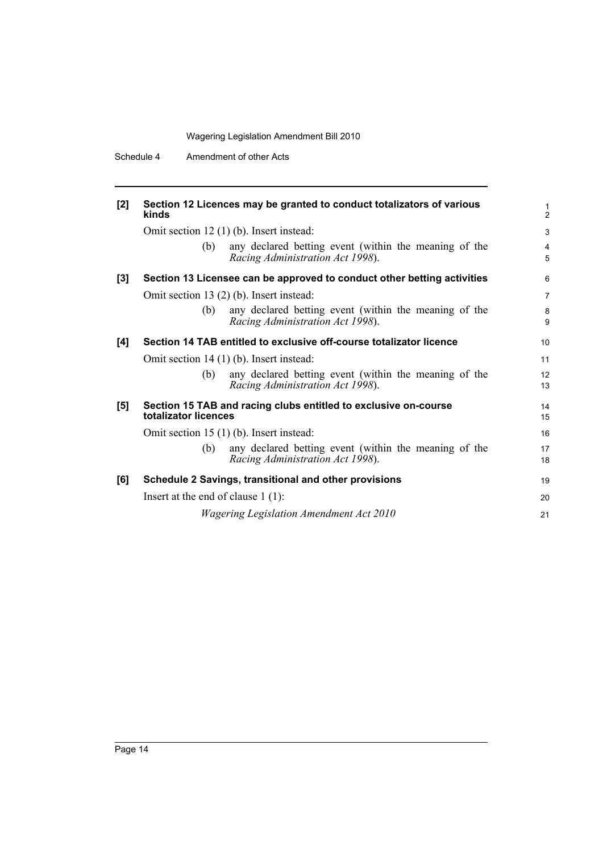| [2] | Section 12 Licences may be granted to conduct totalizators of various<br>kinds                   | 1<br>$\overline{2}$ |  |
|-----|--------------------------------------------------------------------------------------------------|---------------------|--|
|     | Omit section 12 (1) (b). Insert instead:                                                         |                     |  |
|     | any declared betting event (within the meaning of the<br>(b)<br>Racing Administration Act 1998). | 4<br>5              |  |
| [3] | Section 13 Licensee can be approved to conduct other betting activities                          | 6                   |  |
|     | Omit section 13 (2) (b). Insert instead:                                                         | $\overline{7}$      |  |
|     | (b)<br>any declared betting event (within the meaning of the<br>Racing Administration Act 1998). | 8<br>9              |  |
| [4] | Section 14 TAB entitled to exclusive off-course totalizator licence                              | 10                  |  |
|     | Omit section $14(1)$ (b). Insert instead:                                                        | 11                  |  |
|     | any declared betting event (within the meaning of the<br>(b)<br>Racing Administration Act 1998). | 12<br>13            |  |
| [5] | Section 15 TAB and racing clubs entitled to exclusive on-course<br>totalizator licences          |                     |  |
|     | Omit section $15(1)$ (b). Insert instead:                                                        | 16                  |  |
|     | any declared betting event (within the meaning of the<br>(b)<br>Racing Administration Act 1998). | 17<br>18            |  |
| [6] | Schedule 2 Savings, transitional and other provisions                                            | 19                  |  |
|     | Insert at the end of clause $1(1)$ :                                                             | 20                  |  |
|     | <b>Wagering Legislation Amendment Act 2010</b>                                                   | 21                  |  |